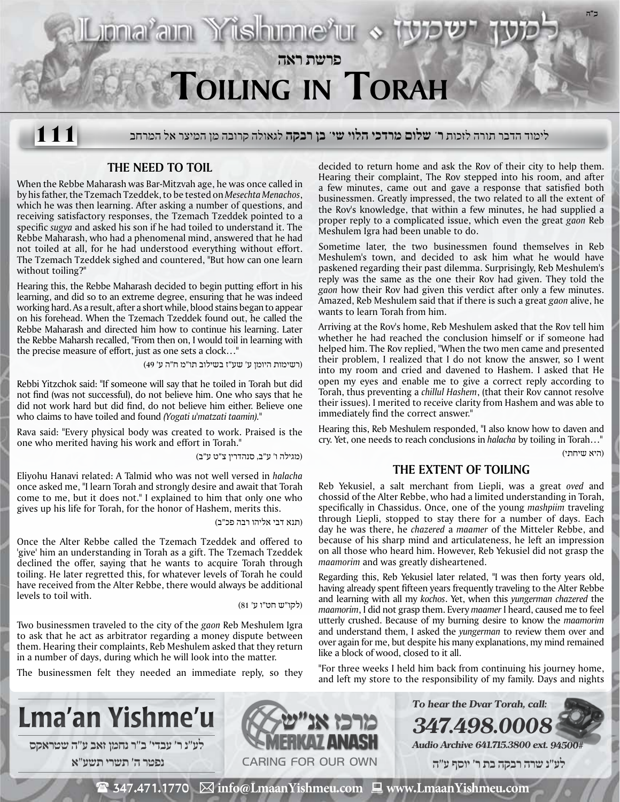

לימוד הדבר תורה לזכות **ר' שלום מרדכי הלוי שי' בן רבקה** לגאולה קרובה מן המיצר אל המרחב **111**

## **The Need to Toil**

When the Rebbe Maharash was Bar-Mitzvah age, he was once called in by his father, the Tzemach Tzeddek, to be tested on *Mesechta Menachos*, which he was then learning. After asking a number of questions, and receiving satisfactory responses, the Tzemach Tzeddek pointed to a specific *sugya* and asked his son if he had toiled to understand it. The Rebbe Maharash, who had a phenomenal mind, answered that he had not toiled at all, for he had understood everything without effort. The Tzemach Tzeddek sighed and countered, "But how can one learn without toiling?"

Hearing this, the Rebbe Maharash decided to begin putting effort in his learning, and did so to an extreme degree, ensuring that he was indeed working hard. As a result, after a short while, blood stains began to appear on his forehead. When the Tzemach Tzeddek found out, he called the Rebbe Maharash and directed him how to continue his learning. Later the Rebbe Maharsh recalled, "From then on, I would toil in learning with the precise measure of effort, just as one sets a clock…"

(רשימות היומן ע' שע"ז בשילוב תו"מ ח"ה ע' 49)

Rebbi Yitzchok said: "If someone will say that he toiled in Torah but did not find (was not successful), do not believe him. One who says that he did not work hard but did find, do not believe him either. Believe one who claims to have toiled and found *(Yogati u'matzati taamin).*"

Rava said: "Every physical body was created to work. Praised is the one who merited having his work and effort in Torah."

(מגילה ו' ע"ב, סנהדרין צ"ט ע"ב)

Eliyohu Hanavi related: A Talmid who was not well versed in *halacha* once asked me, "I learn Torah and strongly desire and await that Torah come to me, but it does not." I explained to him that only one who gives up his life for Torah, for the honor of Hashem, merits this.

(תנא דבי אליהו רבה פכ"ב)

Once the Alter Rebbe called the Tzemach Tzeddek and offered to 'give' him an understanding in Torah as a gift. The Tzemach Tzeddek declined the offer, saying that he wants to acquire Torah through toiling. He later regretted this, for whatever levels of Torah he could have received from the Alter Rebbe, there would always be additional levels to toil with.

(לקו"ש חט"ו ע' 81)

Two businessmen traveled to the city of the *gaon* Reb Meshulem Igra to ask that he act as arbitrator regarding a money dispute between them. Hearing their complaints, Reb Meshulem asked that they return in a number of days, during which he will look into the matter.

The businessmen felt they needed an immediate reply, so they

decided to return home and ask the Rov of their city to help them. Hearing their complaint, The Rov stepped into his room, and after a few minutes, came out and gave a response that satisfied both businessmen. Greatly impressed, the two related to all the extent of the Rov's knowledge, that within a few minutes, he had supplied a proper reply to a complicated issue, which even the great *gaon* Reb Meshulem Igra had been unable to do.

Sometime later, the two businessmen found themselves in Reb Meshulem's town, and decided to ask him what he would have paskened regarding their past dilemma. Surprisingly, Reb Meshulem's reply was the same as the one their Rov had given. They told the *gaon* how their Rov had given this verdict after only a few minutes. Amazed, Reb Meshulem said that if there is such a great *gaon* alive, he wants to learn Torah from him.

Arriving at the Rov's home, Reb Meshulem asked that the Rov tell him whether he had reached the conclusion himself or if someone had helped him. The Rov replied, "When the two men came and presented their problem, I realized that I do not know the answer, so I went into my room and cried and davened to Hashem. I asked that He open my eyes and enable me to give a correct reply according to Torah, thus preventing a *chillul Hashem*, (that their Rov cannot resolve their issues). I merited to receive clarity from Hashem and was able to immediately find the correct answer."

Hearing this, Reb Meshulem responded, "I also know how to daven and cry. Yet, one needs to reach conclusions in *halacha* by toiling in Torah…" (היא שיחתי)

## **The Extent of Toiling**

Reb Yekusiel, a salt merchant from Liepli, was a great *oved* and chossid of the Alter Rebbe, who had a limited understanding in Torah, specifically in Chassidus. Once, one of the young *mashpiim* traveling through Liepli, stopped to stay there for a number of days. Each day he was there, he *chazered* a *maamer* of the Mitteler Rebbe, and because of his sharp mind and articulateness, he left an impression on all those who heard him. However, Reb Yekusiel did not grasp the *maamorim* and was greatly disheartened.

Regarding this, Reb Yekusiel later related, "I was then forty years old, having already spent fifteen years frequently traveling to the Alter Rebbe and learning with all my *kochos*. Yet, when this *yungerman chazered* the *maamorim*, I did not grasp them. Every *maamer* I heard, caused me to feel utterly crushed. Because of my burning desire to know the *maamorim* and understand them, I asked the *yungerman* to review them over and over again for me, but despite his many explanations, my mind remained like a block of wood, closed to it all.

"For three weeks I held him back from continuing his journey home, and left my store to the responsibility of my family. Days and nights



 $\mathbf{\mathcal{F}}$  347.471.1770  $\boxtimes$  info@LmaanYishmeu.com  $\mathbf{\mathcal{F}}$  www.LmaanYishmeu.com